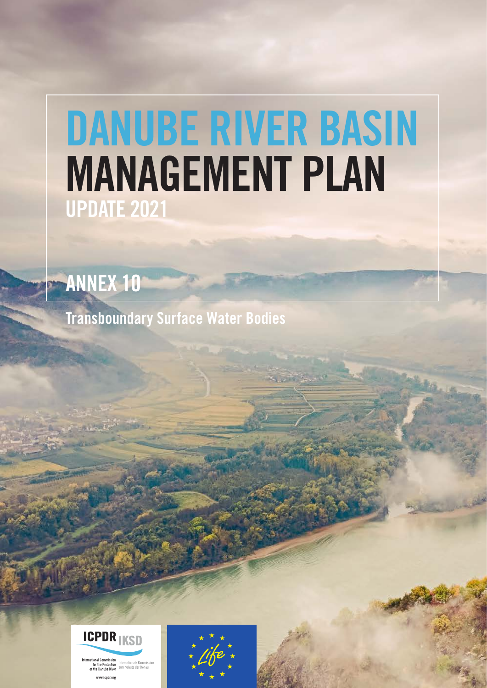## DANUBE RIVER BASIN MANAGEMENT PLAN UPDATE 2021

ANNEX 10

Transboundary Surface Water Bodies



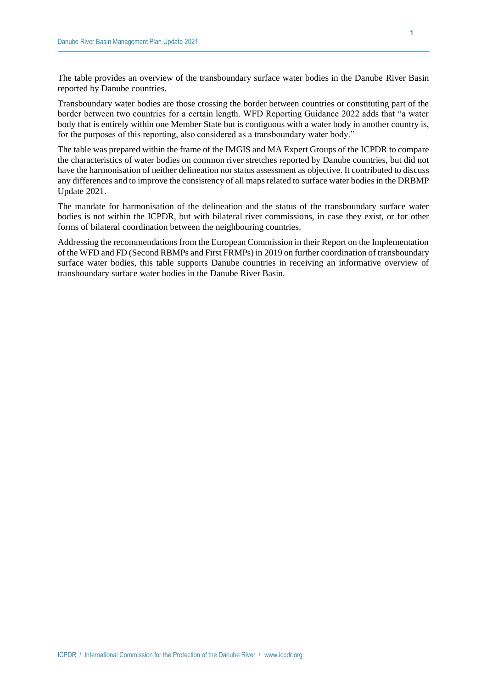The table provides an overview of the transboundary surface water bodies in the Danube River Basin reported by Danube countries.

Transboundary water bodies are those crossing the border between countries or constituting part of the border between two countries for a certain length. WFD Reporting Guidance 2022 adds that "a water body that is entirely within one Member State but is contiguous with a water body in another country is, for the purposes of this reporting, also considered as a transboundary water body."

The table was prepared within the frame of the IMGIS and MA Expert Groups of the ICPDR to compare the characteristics of water bodies on common river stretches reported by Danube countries, but did not have the harmonisation of neither delineation nor status assessment as objective. It contributed to discuss any differences and to improve the consistency of all maps related to surface water bodies in the DRBMP Update 2021.

The mandate for harmonisation of the delineation and the status of the transboundary surface water bodies is not within the ICPDR, but with bilateral river commissions, in case they exist, or for other forms of bilateral coordination between the neighbouring countries.

Addressing the recommendations from the European Commission in their Report on the Implementation of the WFD and FD (Second RBMPs and First FRMPs) in 2019 on further coordination of transboundary surface water bodies, this table supports Danube countries in receiving an informative overview of transboundary surface water bodies in the Danube River Basin.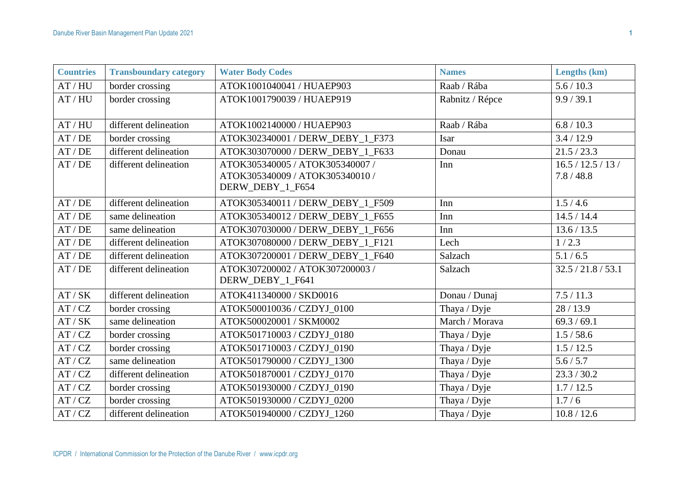| <b>Countries</b> | <b>Transboundary category</b> | <b>Water Body Codes</b>                                                                | <b>Names</b>    | Lengths (km)                   |
|------------------|-------------------------------|----------------------------------------------------------------------------------------|-----------------|--------------------------------|
| AT/HU            | border crossing               | ATOK1001040041 / HUAEP903                                                              | Raab / Rába     | 5.6 / 10.3                     |
| AT/HU            | border crossing               | ATOK1001790039 / HUAEP919                                                              | Rabnitz / Répce | 9.9 / 39.1                     |
| AT/HU            | different delineation         | ATOK1002140000 / HUAEP903                                                              | Raab / Rába     | 6.8 / 10.3                     |
| AT/DE            | border crossing               | ATOK302340001 / DERW_DEBY_1_F373                                                       | Isar            | 3.4 / 12.9                     |
| AT/DE            | different delineation         | ATOK303070000 / DERW DEBY 1 F633                                                       | Donau           | 21.5 / 23.3                    |
| AT/DE            | different delineation         | ATOK305340005 / ATOK305340007 /<br>ATOK305340009 / ATOK305340010 /<br>DERW_DEBY_1_F654 | Inn             | 16.5 / 12.5 / 13 /<br>7.8/48.8 |
| AT/DE            | different delineation         | ATOK305340011 / DERW_DEBY_1_F509                                                       | Inn             | 1.5/4.6                        |
| AT/DE            | same delineation              | ATOK305340012 / DERW DEBY 1 F655                                                       | Inn             | 14.5 / 14.4                    |
| AT/DE            | same delineation              | ATOK307030000 / DERW_DEBY_1_F656                                                       | Inn             | 13.6 / 13.5                    |
| AT/DE            | different delineation         | ATOK307080000 / DERW_DEBY_1_F121                                                       | Lech            | 1/2.3                          |
| AT/DE            | different delineation         | ATOK307200001 / DERW_DEBY_1_F640                                                       | Salzach         | 5.1 / 6.5                      |
| AT/DE            | different delineation         | ATOK307200002 / ATOK307200003 /<br>DERW_DEBY_1_F641                                    | Salzach         | 32.5 / 21.8 / 53.1             |
| AT/SK            | different delineation         | ATOK411340000 / SKD0016                                                                | Donau / Dunaj   | 7.5/11.3                       |
| AT/ CZ           | border crossing               | ATOK500010036 / CZDYJ_0100                                                             | Thaya / Dyje    | 28/13.9                        |
| AT/SK            | same delineation              | ATOK500020001 / SKM0002                                                                | March / Morava  | 69.3 / 69.1                    |
| AT/ CZ           | border crossing               | ATOK501710003 / CZDYJ 0180                                                             | Thaya / Dyje    | 1.5 / 58.6                     |
| AT/ CZ           | border crossing               | ATOK501710003 / CZDYJ 0190                                                             | Thaya / Dyje    | 1.5 / 12.5                     |
| AT/ CZ           | same delineation              | ATOK501790000 / CZDYJ 1300                                                             | Thaya / Dyje    | 5.6 / 5.7                      |
| AT/ CZ           | different delineation         | ATOK501870001 / CZDYJ 0170                                                             | Thaya / Dyje    | 23.3 / 30.2                    |
| AT/ CZ           | border crossing               | ATOK501930000 / CZDYJ_0190                                                             | Thaya / Dyje    | 1.7 / 12.5                     |
| AT/ CZ           | border crossing               | ATOK501930000 / CZDYJ 0200                                                             | Thaya / Dyje    | 1.7/6                          |
| AT / CZ          | different delineation         | ATOK501940000 / CZDYJ 1260                                                             | Thaya / Dyje    | 10.8 / 12.6                    |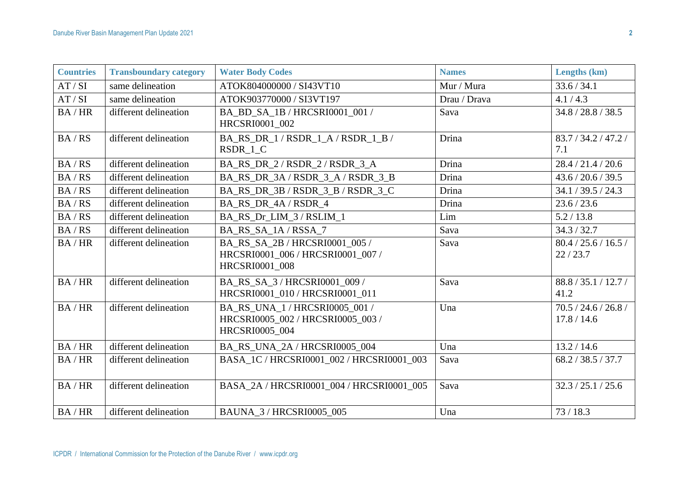| <b>Countries</b> | <b>Transboundary category</b> | <b>Water Body Codes</b>                                                                      | <b>Names</b> | Lengths (km)                        |
|------------------|-------------------------------|----------------------------------------------------------------------------------------------|--------------|-------------------------------------|
| AT/SI            | same delineation              | ATOK804000000 / SI43VT10                                                                     | Mur / Mura   | 33.6 / 34.1                         |
| AT/SI            | same delineation              | ATOK903770000 / SI3VT197                                                                     | Drau / Drava | 4.1 / 4.3                           |
| BA/HR            | different delineation         | BA_BD_SA_1B / HRCSRI0001_001 /<br>HRCSRI0001_002                                             | Sava         | 34.8 / 28.8 / 38.5                  |
| BA / RS          | different delineation         | BA_RS_DR_1 / RSDR_1_A / RSDR_1_B /<br>RSDR 1 C                                               | Drina        | 83.7 / 34.2 / 47.2 /<br>7.1         |
| BA / RS          | different delineation         | BA_RS_DR_2/RSDR_2/RSDR_3_A                                                                   | Drina        | 28.4 / 21.4 / 20.6                  |
| BA / RS          | different delineation         | BA_RS_DR_3A/RSDR_3_A/RSDR_3_B                                                                | Drina        | 43.6 / 20.6 / 39.5                  |
| BA / RS          | different delineation         | BA RS DR 3B/RSDR 3 B/RSDR 3 C                                                                | Drina        | 34.1 / 39.5 / 24.3                  |
| BA / RS          | different delineation         | BA_RS_DR_4A / RSDR_4                                                                         | Drina        | 23.6 / 23.6                         |
| BA / RS          | different delineation         | BA RS Dr LIM 3/RSLIM 1                                                                       | Lim          | 5.2 / 13.8                          |
| BA / RS          | different delineation         | BA_RS_SA_1A/RSSA_7                                                                           | Sava         | 34.3 / 32.7                         |
| BA/HR            | different delineation         | BA RS SA 2B / HRCSRI0001 005 /<br>HRCSRI0001_006 / HRCSRI0001_007 /<br>HRCSRI0001_008        | Sava         | 80.4 / 25.6 / 16.5 /<br>22/23.7     |
| BA/HR            | different delineation         | BA RS SA 3/HRCSRI0001 009/<br>HRCSRI0001 010 / HRCSRI0001 011                                | Sava         | 88.8 / 35.1 / 12.7 /<br>41.2        |
| BA/HR            | different delineation         | BA_RS_UNA_1 / HRCSRI0005_001 /<br>HRCSRI0005 002 / HRCSRI0005 003 /<br><b>HRCSRI0005 004</b> | Una          | 70.5 / 24.6 / 26.8 /<br>17.8 / 14.6 |
| BA/HR            | different delineation         | BA_RS_UNA_2A / HRCSRI0005_004                                                                | Una          | 13.2 / 14.6                         |
| BA/HR            | different delineation         | BASA_1C / HRCSRI0001_002 / HRCSRI0001_003                                                    | Sava         | 68.2 / 38.5 / 37.7                  |
| BA/HR            | different delineation         | BASA_2A / HRCSRI0001_004 / HRCSRI0001_005                                                    | Sava         | 32.3 / 25.1 / 25.6                  |
| BA/HR            | different delineation         | BAUNA_3 / HRCSRI0005_005                                                                     | Una          | 73/18.3                             |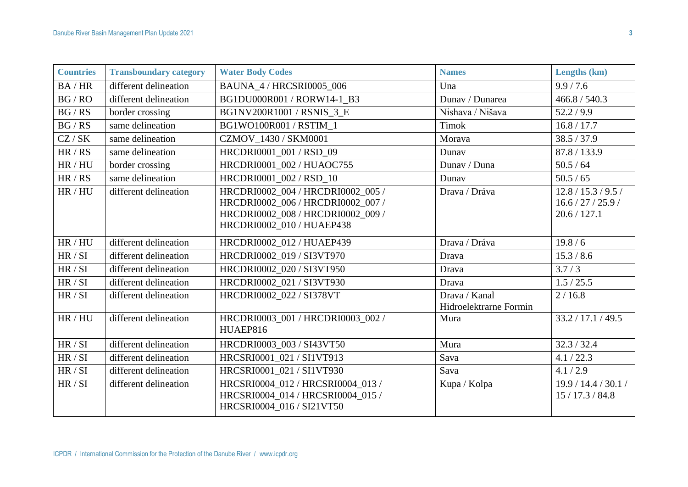| <b>Countries</b> | <b>Transboundary category</b> | <b>Water Body Codes</b>                                                                                                                  | <b>Names</b>                            | Lengths (km)                                            |
|------------------|-------------------------------|------------------------------------------------------------------------------------------------------------------------------------------|-----------------------------------------|---------------------------------------------------------|
| BA/HR            | different delineation         | <b>BAUNA 4/HRCSRI0005 006</b>                                                                                                            | Una                                     | 9.9 / 7.6                                               |
| BG/RO            | different delineation         | BG1DU000R001 / RORW14-1 B3                                                                                                               | Dunav / Dunarea                         | 466.8 / 540.3                                           |
| BG/RS            | border crossing               | BG1NV200R1001 / RSNIS 3 E                                                                                                                | Nishava / Nišava                        | 52.2/9.9                                                |
| BG / RS          | same delineation              | BG1WO100R001 / RSTIM 1                                                                                                                   | <b>Timok</b>                            | 16.8 / 17.7                                             |
| CZ/SK            | same delineation              | CZMOV_1430 / SKM0001                                                                                                                     | Morava                                  | 38.5 / 37.9                                             |
| HR/RS            | same delineation              | HRCDRI0001_001 / RSD_09                                                                                                                  | Dunav                                   | 87.8 / 133.9                                            |
| HR / HU          | border crossing               | HRCDRI0001 002 / HUAOC755                                                                                                                | Dunav / Duna                            | 50.5 / 64                                               |
| HR/RS            | same delineation              | HRCDRI0001 002 / RSD 10                                                                                                                  | Dunav                                   | 50.5 / 65                                               |
| HR / HU          | different delineation         | HRCDRI0002 004 / HRCDRI0002 005 /<br>HRCDRI0002_006 / HRCDRI0002_007 /<br>HRCDRI0002_008 / HRCDRI0002_009 /<br>HRCDRI0002 010 / HUAEP438 | Drava / Dráva                           | 12.8 / 15.3 / 9.5 /<br>16.6 / 27 / 25.9<br>20.6 / 127.1 |
| HR / HU          | different delineation         | HRCDRI0002_012 / HUAEP439                                                                                                                | Drava / Dráva                           | 19.8/6                                                  |
| HR / SI          | different delineation         | HRCDRI0002_019 / SI3VT970                                                                                                                | Drava                                   | 15.3 / 8.6                                              |
| HR / SI          | different delineation         | HRCDRI0002 020 / SI3VT950                                                                                                                | Drava                                   | 3.7/3                                                   |
| HR / SI          | different delineation         | HRCDRI0002 021 / SI3VT930                                                                                                                | Drava                                   | 1.5 / 25.5                                              |
| HR / SI          | different delineation         | HRCDRI0002 022 / SI378VT                                                                                                                 | Drava / Kanal<br>Hidroelektrarne Formin | 2/16.8                                                  |
| HR / HU          | different delineation         | HRCDRI0003_001 / HRCDRI0003_002 /<br>HUAEP816                                                                                            | Mura                                    | 33.2 / 17.1 / 49.5                                      |
| HR / SI          | different delineation         | HRCDRI0003 003 / SI43VT50                                                                                                                | Mura                                    | 32.3 / 32.4                                             |
| HR / SI          | different delineation         | HRCSRI0001_021 / SI1VT913                                                                                                                | Sava                                    | 4.1 / 22.3                                              |
| HR / SI          | different delineation         | HRCSRI0001 021 / SI1VT930                                                                                                                | Sava                                    | 4.1 / 2.9                                               |
| HR / SI          | different delineation         | HRCSRI0004_012 / HRCSRI0004_013 /<br>HRCSRI0004 014 / HRCSRI0004 015 /<br>HRCSRI0004 016 / SI21VT50                                      | Kupa / Kolpa                            | 19.9 / 14.4 / 30.1 /<br>15/17.3/84.8                    |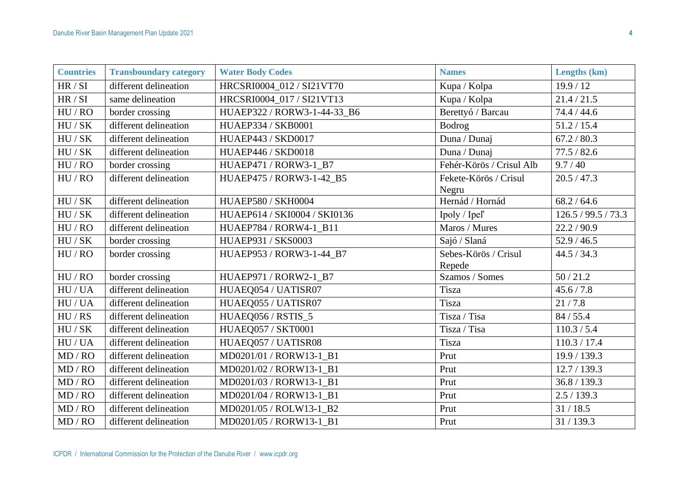| <b>Countries</b>    | <b>Transboundary category</b> | <b>Water Body Codes</b>      | <b>Names</b>             | Lengths (km)        |
|---------------------|-------------------------------|------------------------------|--------------------------|---------------------|
| HR / SI             | different delineation         | HRCSRI0004_012 / SI21VT70    | Kupa / Kolpa             | 19.9/12             |
| HR / SI             | same delineation              | HRCSRI0004 017 / SI21VT13    | Kupa / Kolpa             | 21.4 / 21.5         |
| HU/RO               | border crossing               | HUAEP322 / RORW3-1-44-33_B6  | Berettyó / Barcau        | 74.4 / 44.6         |
| HU / SK             | different delineation         | HUAEP334 / SKB0001           | <b>Bodrog</b>            | 51.2 / 15.4         |
| HU / SK             | different delineation         | HUAEP443 / SKD0017           | Duna / Dunaj             | 67.2 / 80.3         |
| HU / SK             | different delineation         | HUAEP446 / SKD0018           | Duna / Dunaj             | 77.5 / 82.6         |
| HU/RO               | border crossing               | HUAEP471 / RORW3-1_B7        | Fehér-Körös / Crisul Alb | 9.7 / 40            |
| HU/RO               | different delineation         | HUAEP475 / RORW3-1-42 B5     | Fekete-Körös / Crisul    | 20.5 / 47.3         |
|                     |                               |                              | Negru                    |                     |
| HU / SK             | different delineation         | HUAEP580 / SKH0004           | Hernád / Hornád          | 68.2 / 64.6         |
| HU / SK             | different delineation         | HUAEP614 / SKI0004 / SKI0136 | Ipoly / Ipel'            | 126.5 / 99.5 / 73.3 |
| HU/RO               | different delineation         | HUAEP784 / RORW4-1_B11       | Maros / Mures            | 22.2 / 90.9         |
| HU / SK             | border crossing               | HUAEP931 / SKS0003           | Sajó / Slaná             | 52.9 / 46.5         |
| HU/RO               | border crossing               | HUAEP953 / RORW3-1-44_B7     | Sebes-Körös / Crisul     | 44.5 / 34.3         |
|                     |                               |                              | Repede                   |                     |
| $\rm HU$ / $\rm RO$ | border crossing               | HUAEP971 / RORW2-1_B7        | Szamos / Somes           | 50/21.2             |
| HU/UA               | different delineation         | HUAEQ054 / UATISR07          | Tisza                    | 45.6 / 7.8          |
| HU/UA               | different delineation         | HUAEQ055 / UATISR07          | Tisza                    | 21/7.8              |
| HU/RS               | different delineation         | HUAEQ056 / RSTIS_5           | Tisza / Tisa             | 84/55.4             |
| HU / SK             | different delineation         | HUAEQ057 / SKT0001           | Tisza / Tisa             | 110.3 / 5.4         |
| HU/UA               | different delineation         | HUAEQ057 / UATISR08          | Tisza                    | 110.3 / 17.4        |
| MD / RO             | different delineation         | MD0201/01 / RORW13-1 B1      | Prut                     | 19.9 / 139.3        |
| MD / RO             | different delineation         | MD0201/02 / RORW13-1 B1      | Prut                     | 12.7 / 139.3        |
| MD / RO             | different delineation         | MD0201/03 / RORW13-1_B1      | Prut                     | 36.8 / 139.3        |
| MD / RO             | different delineation         | MD0201/04 / RORW13-1_B1      | Prut                     | 2.5/139.3           |
| MD / RO             | different delineation         | MD0201/05 / ROLW13-1 B2      | Prut                     | 31/18.5             |
| MD / RO             | different delineation         | MD0201/05 / RORW13-1 B1      | Prut                     | 31/139.3            |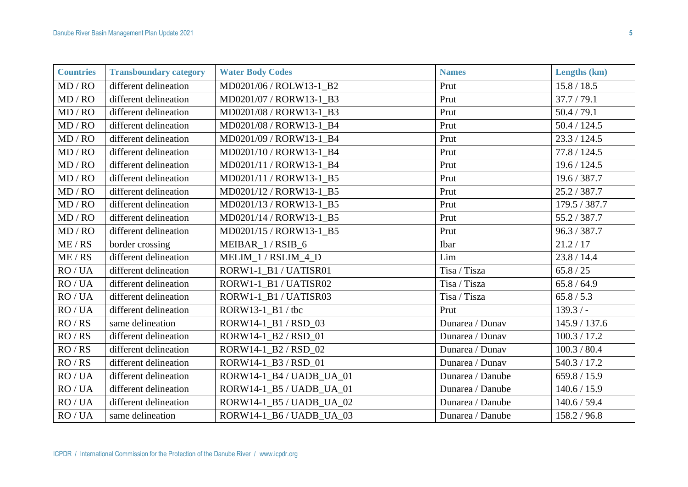| <b>Countries</b> | <b>Transboundary category</b> | <b>Water Body Codes</b>  | <b>Names</b>     | Lengths (km)  |
|------------------|-------------------------------|--------------------------|------------------|---------------|
| MD / RO          | different delineation         | MD0201/06 / ROLW13-1 B2  | Prut             | 15.8 / 18.5   |
| MD / RO          | different delineation         | MD0201/07 / RORW13-1 B3  | Prut             | 37.7 / 79.1   |
| MD / RO          | different delineation         | MD0201/08 / RORW13-1 B3  | Prut             | 50.4 / 79.1   |
| MD / RO          | different delineation         | MD0201/08 / RORW13-1_B4  | Prut             | 50.4 / 124.5  |
| MD / RO          | different delineation         | MD0201/09 / RORW13-1 B4  | Prut             | 23.3 / 124.5  |
| MD / RO          | different delineation         | MD0201/10 / RORW13-1_B4  | Prut             | 77.8 / 124.5  |
| MD / RO          | different delineation         | MD0201/11 / RORW13-1_B4  | Prut             | 19.6 / 124.5  |
| MD / RO          | different delineation         | MD0201/11 / RORW13-1_B5  | Prut             | 19.6 / 387.7  |
| MD / RO          | different delineation         | MD0201/12 / RORW13-1 B5  | Prut             | 25.2/387.7    |
| MD / RO          | different delineation         | MD0201/13 / RORW13-1 B5  | Prut             | 179.5 / 387.7 |
| MD / RO          | different delineation         | MD0201/14 / RORW13-1 B5  | Prut             | 55.2/387.7    |
| MD / RO          | different delineation         | MD0201/15 / RORW13-1_B5  | Prut             | 96.3 / 387.7  |
| ME / RS          | border crossing               | MEIBAR 1/RSIB 6          | Ibar             | 21.2 / 17     |
| ME / RS          | different delineation         | MELIM_1 / RSLIM_4_D      | Lim              | 23.8 / 14.4   |
| RO/UA            | different delineation         | RORW1-1 B1 / UATISR01    | Tisa / Tisza     | 65.8 / 25     |
| RO/UA            | different delineation         | RORW1-1_B1 / UATISR02    | Tisa / Tisza     | 65.8 / 64.9   |
| RO/UA            | different delineation         | RORW1-1 B1 / UATISR03    | Tisa / Tisza     | 65.8 / 5.3    |
| RO/UA            | different delineation         | $RORW13-1_B1 / tbc$      | Prut             | $139.3/-$     |
| RO / RS          | same delineation              | RORW14-1 B1/RSD 03       | Dunarea / Dunav  | 145.9 / 137.6 |
| RO / RS          | different delineation         | RORW14-1_B2 / RSD_01     | Dunarea / Dunav  | 100.3 / 17.2  |
| RO / RS          | different delineation         | RORW14-1_B2 / RSD_02     | Dunarea / Dunav  | 100.3 / 80.4  |
| RO / RS          | different delineation         | RORW14-1_B3 / RSD_01     | Dunarea / Dunav  | 540.3 / 17.2  |
| RO/UA            | different delineation         | RORW14-1_B4 / UADB_UA_01 | Dunarea / Danube | 659.8 / 15.9  |
| RO/UA            | different delineation         | RORW14-1_B5 / UADB_UA_01 | Dunarea / Danube | 140.6 / 15.9  |
| RO/UA            | different delineation         | RORW14-1_B5 / UADB_UA_02 | Dunarea / Danube | 140.6 / 59.4  |
| RO/UA            | same delineation              | RORW14-1_B6 / UADB_UA_03 | Dunarea / Danube | 158.2/96.8    |